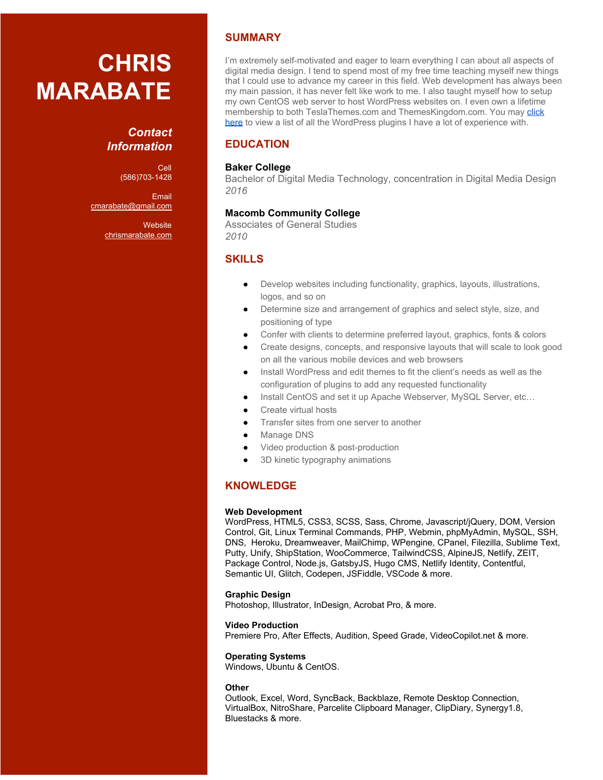# **CHRIS MARABATE**

## *Contact Information*

Cell (586)703-1428

Email [cmarabate@gmail.com](mailto:cmarabate@gmail.com)

> **Website** [chrismarabate.com](https://chrismarabate.com/)

## **SUMMARY**

I'm extremely self-motivated and eager to learn everything I can about all aspects of digital media design. I tend to spend most of my free time teaching myself new things that I could use to advance my career in this field. Web development has always been my main passion, it has never felt like work to me. I also taught myself how to setup my own CentOS web server to host WordPress websites on. I even own a lifetime membership to both TeslaThemes.com and ThemesKingdom.com. You may [click](https://drive.google.com/open?id=1D4ax1smGtzbDoVrOYUoS2j1xSmPR3xYDFGDfXpE_dTE) [here](https://drive.google.com/open?id=1D4ax1smGtzbDoVrOYUoS2j1xSmPR3xYDFGDfXpE_dTE) to view a list of all the WordPress plugins I have a lot of experience with.

## **EDUCATION**

### **Baker College**

Bachelor of Digital Media Technology, concentration in Digital Media Design *2016*

## **Macomb Community College**

Associates of General Studies *2010*

## **SKILLS**

- Develop websites including functionality, graphics, layouts, illustrations, logos, and so on
- Determine size and arrangement of graphics and select style, size, and positioning of type
- Confer with clients to determine preferred layout, graphics, fonts & colors
- Create designs, concepts, and responsive layouts that will scale to look good on all the various mobile devices and web browsers
- Install WordPress and edit themes to fit the client's needs as well as the configuration of plugins to add any requested functionality
- Install CentOS and set it up Apache Webserver, MySQL Server, etc...
- Create virtual hosts
- Transfer sites from one server to another
- Manage DNS
- Video production & post-production
- 3D kinetic typography animations

## **KNOWLEDGE**

#### **Web Development**

WordPress, HTML5, CSS3, SCSS, Sass, Chrome, Javascript/jQuery, DOM, Version Control, Git, Linux Terminal Commands, PHP, Webmin, phpMyAdmin, MySQL, SSH, DNS, Heroku, Dreamweaver, MailChimp, WPengine, CPanel, Filezilla, Sublime Text, Putty, Unify, ShipStation, WooCommerce, TailwindCSS, AlpineJS, Netlify, ZEIT, Package Control, Node.js, GatsbyJS, Hugo CMS, Netlify Identity, Contentful, Semantic UI, Glitch, Codepen, JSFiddle, VSCode & more.

#### **Graphic Design**

Photoshop, Illustrator, InDesign, Acrobat Pro, & more.

#### **Video Production**

Premiere Pro, After Effects, Audition, Speed Grade, VideoCopilot.net & more.

#### **Operating Systems**

Windows, Ubuntu & CentOS.

#### **Other**

Outlook, Excel, Word, SyncBack, Backblaze, Remote Desktop Connection, VirtualBox, NitroShare, Parcelite Clipboard Manager, ClipDiary, Synergy1.8, Bluestacks & more.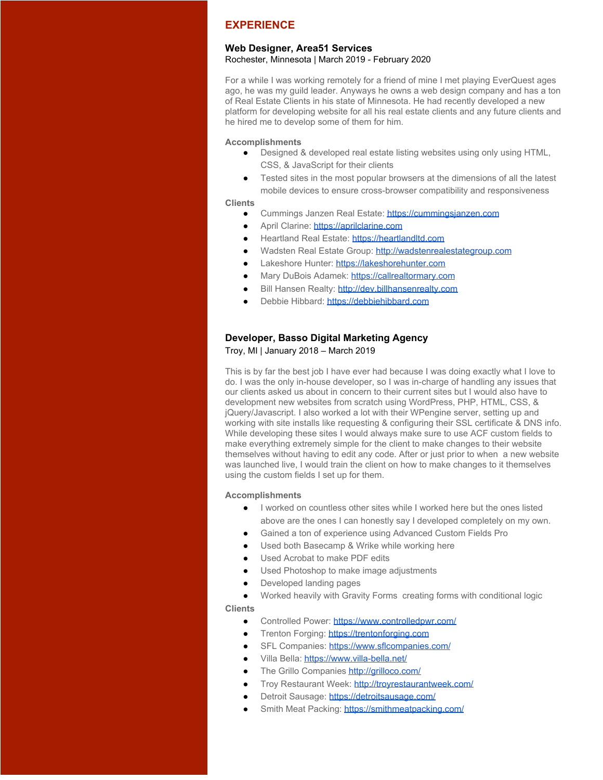## **EXPERIENCE**

#### **Web Designer, Area51 Services**

Rochester, Minnesota | March 2019 - February 2020

For a while I was working remotely for a friend of mine I met playing EverQuest ages ago, he was my guild leader. Anyways he owns a web design company and has a ton of Real Estate Clients in his state of Minnesota. He had recently developed a new platform for developing website for all his real estate clients and any future clients and he hired me to develop some of them for him.

#### **Accomplishments**

- Designed & developed real estate listing websites using only using HTML, CSS, & JavaScript for their clients
- Tested sites in the most popular browsers at the dimensions of all the latest mobile devices to ensure cross-browser compatibility and responsiveness

#### **Clients**

- Cummings Janzen Real Estate: [https://cummingsjanzen.com](https://cummingsjanzen.com/)
- April Clarine: [https://aprilclarine.com](https://aprilclarine.com/)
- Heartland Real Estate: [https://heartlandltd.com](https://heartlandltd.com/)
- Wadsten Real Estate Group: [http://wadstenrealestategroup.com](http://wadstenrealestategroup.com/)
- Lakeshore Hunter: [https://lakeshorehunter.com](https://lakeshorehunter.com/)
- Mary DuBois Adamek: [https://callrealtormary.com](https://callrealtormary.com/)
- Bill Hansen Realty: [http://dev.billhansenrealty.com](http://dev.billhansenrealty.com/)
- Debbie Hibbard: [https://debbiehibbard.com](https://debbiehibbard.com/)

# **Developer, Basso Digital Marketing Agency**

Troy, MI | January 2018 – March 2019

This is by far the best job I have ever had because I was doing exactly what I love to do. I was the only in-house developer, so I was in-charge of handling any issues that our clients asked us about in concern to their current sites but I would also have to development new websites from scratch using WordPress, PHP, HTML, CSS, & jQuery/Javascript. I also worked a lot with their WPengine server, setting up and working with site installs like requesting & configuring their SSL certificate & DNS info. While developing these sites I would always make sure to use ACF custom fields to make everything extremely simple for the client to make changes to their website themselves without having to edit any code. After or just prior to when a new website was launched live, I would train the client on how to make changes to it themselves using the custom fields I set up for them.

#### **Accomplishments**

- I worked on countless other sites while I worked here but the ones listed above are the ones I can honestly say I developed completely on my own.
- Gained a ton of experience using Advanced Custom Fields Pro
- Used both Basecamp & Wrike while working here
- Used Acrobat to make PDF edits
- Used Photoshop to make image adjustments
- Developed landing pages
- Worked heavily with Gravity Forms creating forms with conditional logic

**Clients**

- Controlled Power: <https://www.controlledpwr.com/>
- Trenton Forging: [https://trentonforging.com](https://trentonforging.com/)
- SFL Companies:<https://www.sflcompanies.com/>
- Villa Bella:<https://www.villa-bella.net/>
- The Grillo Companies<http://grilloco.com/>
- Troy Restaurant Week: http://trovrestaurantweek.com/
- Detroit Sausage:<https://detroitsausage.com/>
- Smith Meat Packing: <https://smithmeatpacking.com/>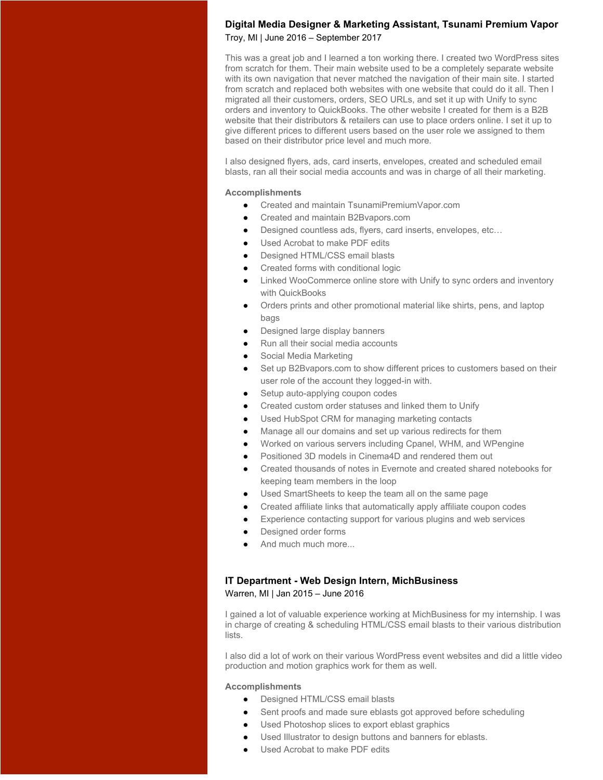#### **Digital Media Designer & Marketing Assistant, Tsunami Premium Vapor** Troy, MI | June 2016 – September 2017

This was a great job and I learned a ton working there. I created two WordPress sites from scratch for them. Their main website used to be a completely separate website with its own navigation that never matched the navigation of their main site. I started from scratch and replaced both websites with one website that could do it all. Then I migrated all their customers, orders, SEO URLs, and set it up with Unify to sync orders and inventory to QuickBooks. The other website I created for them is a B2B website that their distributors & retailers can use to place orders online. I set it up to give different prices to different users based on the user role we assigned to them based on their distributor price level and much more.

I also designed flyers, ads, card inserts, envelopes, created and scheduled email blasts, ran all their social media accounts and was in charge of all their marketing.

#### **Accomplishments**

- Created and maintain TsunamiPremiumVapor.com
- Created and maintain B2Bvapors.com
- Designed countless ads, flyers, card inserts, envelopes, etc...
- Used Acrobat to make PDF edits
- Designed HTML/CSS email blasts
- Created forms with conditional logic
- Linked WooCommerce online store with Unify to sync orders and inventory with QuickBooks
- Orders prints and other promotional material like shirts, pens, and laptop bags
- Designed large display banners
- Run all their social media accounts
- Social Media Marketing
- Set up B2Bvapors.com to show different prices to customers based on their user role of the account they logged-in with.
- Setup auto-applying coupon codes
- Created custom order statuses and linked them to Unify
- Used HubSpot CRM for managing marketing contacts
	- Manage all our domains and set up various redirects for them
- Worked on various servers including Cpanel, WHM, and WPengine
- Positioned 3D models in Cinema4D and rendered them out
- Created thousands of notes in Evernote and created shared notebooks for keeping team members in the loop
- Used SmartSheets to keep the team all on the same page
- Created affiliate links that automatically apply affiliate coupon codes
- Experience contacting support for various plugins and web services
- Designed order forms
- And much much more...

#### **IT Department - Web Design Intern, MichBusiness**

Warren, MI | Jan 2015 – June 2016

I gained a lot of valuable experience working at MichBusiness for my internship. I was in charge of creating & scheduling HTML/CSS email blasts to their various distribution lists.

I also did a lot of work on their various WordPress event websites and did a little video production and motion graphics work for them as well.

- Designed HTML/CSS email blasts
- Sent proofs and made sure eblasts got approved before scheduling
- Used Photoshop slices to export eblast graphics
- Used Illustrator to design buttons and banners for eblasts.
- Used Acrobat to make PDF edits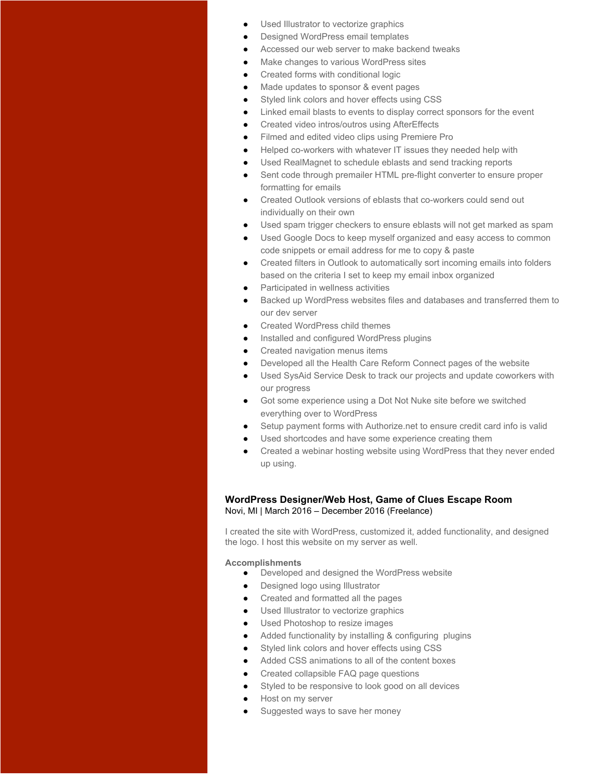- Used Illustrator to vectorize graphics
- Designed WordPress email templates
- Accessed our web server to make backend tweaks
- Make changes to various WordPress sites
- Created forms with conditional logic
- Made updates to sponsor & event pages
- Styled link colors and hover effects using CSS
- Linked email blasts to events to display correct sponsors for the event
- Created video intros/outros using AfterEffects
- Filmed and edited video clips using Premiere Pro
- Helped co-workers with whatever IT issues they needed help with
- Used RealMagnet to schedule eblasts and send tracking reports
- Sent code through premailer HTML pre-flight converter to ensure proper formatting for emails
- Created Outlook versions of eblasts that co-workers could send out individually on their own
- Used spam trigger checkers to ensure eblasts will not get marked as spam
- Used Google Docs to keep myself organized and easy access to common code snippets or email address for me to copy & paste
- Created filters in Outlook to automatically sort incoming emails into folders based on the criteria I set to keep my email inbox organized
- Participated in wellness activities
- Backed up WordPress websites files and databases and transferred them to our dev server
- Created WordPress child themes
- Installed and configured WordPress plugins
- Created navigation menus items
- Developed all the Health Care Reform Connect pages of the website
- Used SysAid Service Desk to track our projects and update coworkers with our progress
- Got some experience using a Dot Not Nuke site before we switched everything over to WordPress
- Setup payment forms with Authorize.net to ensure credit card info is valid
- Used shortcodes and have some experience creating them
- Created a webinar hosting website using WordPress that they never ended up using.

#### **WordPress Designer/Web Host, Game of Clues Escape Room** Novi, MI | March 2016 – December 2016 (Freelance)

I created the site with WordPress, customized it, added functionality, and designed the logo. I host this website on my server as well.

- Developed and designed the WordPress website
- Designed logo using Illustrator
- Created and formatted all the pages
- Used Illustrator to vectorize graphics
- Used Photoshop to resize images
- Added functionality by installing & configuring plugins
- Styled link colors and hover effects using CSS
- Added CSS animations to all of the content boxes
- Created collapsible FAQ page questions
- Styled to be responsive to look good on all devices
- Host on my server
- Suggested ways to save her money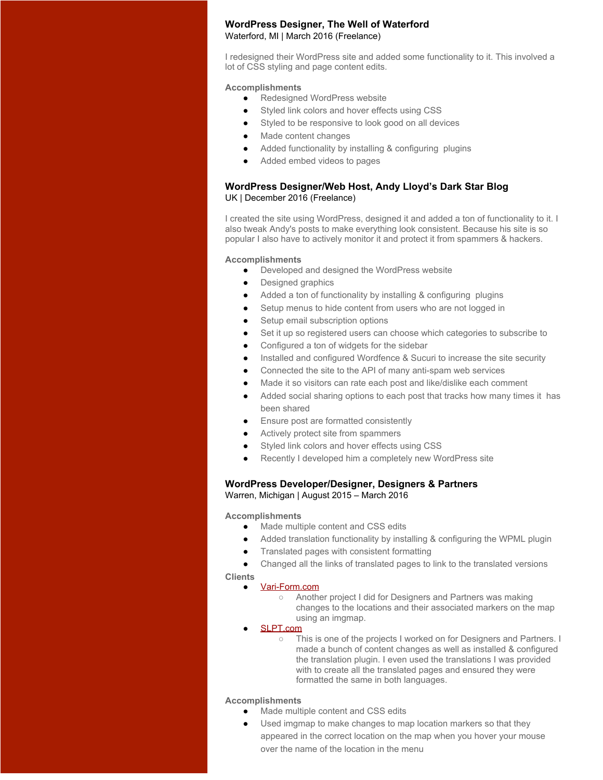#### **WordPress Designer, The Well of Waterford** Waterford, MI | March 2016 (Freelance)

I redesigned their WordPress site and added some functionality to it. This involved a lot of CSS styling and page content edits.

#### **Accomplishments**

- Redesigned WordPress website
- Styled link colors and hover effects using CSS
- Styled to be responsive to look good on all devices
- Made content changes
- Added functionality by installing & configuring plugins
- Added embed videos to pages

#### **WordPress Designer/Web Host, Andy Lloyd's Dark Star Blog** UK | December 2016 (Freelance)

I created the site using WordPress, designed it and added a ton of functionality to it. I also tweak Andy's posts to make everything look consistent. Because his site is so popular I also have to actively monitor it and protect it from spammers & hackers.

#### **Accomplishments**

- Developed and designed the WordPress website
- Designed graphics
- Added a ton of functionality by installing & configuring plugins
- Setup menus to hide content from users who are not logged in
- Setup email subscription options
- Set it up so registered users can choose which categories to subscribe to
- Configured a ton of widgets for the sidebar
- Installed and configured Wordfence & Sucuri to increase the site security
- Connected the site to the API of many anti-spam web services
- Made it so visitors can rate each post and like/dislike each comment
- Added social sharing options to each post that tracks how many times it has been shared
- Ensure post are formatted consistently
- Actively protect site from spammers
- Styled link colors and hover effects using CSS
- Recently I developed him a completely new WordPress site

#### **WordPress Developer/Designer, Designers & Partners** Warren, Michigan | August 2015 – March 2016

#### **Accomplishments**

- Made multiple content and CSS edits
- Added translation functionality by installing & configuring the WPML plugin
- Translated pages with consistent formatting
- Changed all the links of translated pages to link to the translated versions

**Clients**

- [Vari-Form.com](http://www.vari-form.com/)
	- Another project I did for Designers and Partners was making changes to the locations and their associated markers on the map using an imgmap.
- [SLPT.com](http://slpt.com/)
	- This is one of the projects I worked on for Designers and Partners. I made a bunch of content changes as well as installed & configured the translation plugin. I even used the translations I was provided with to create all the translated pages and ensured they were formatted the same in both languages.

- Made multiple content and CSS edits
	- Used imgmap to make changes to map location markers so that they appeared in the correct location on the map when you hover your mouse over the name of the location in the menu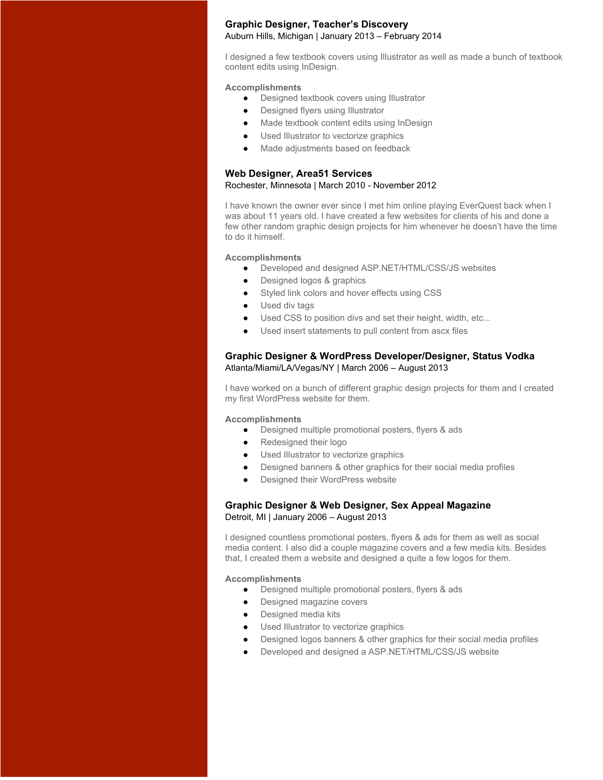#### **Graphic Designer, Teacher's Discovery** Auburn Hills, Michigan | January 2013 – February 2014

I designed a few textbook covers using Illustrator as well as made a bunch of textbook content edits using InDesign.

#### **Accomplishments**

- Designed textbook covers using Illustrator
- Designed flyers using Illustrator
- Made textbook content edits using InDesign
- Used Illustrator to vectorize graphics
- Made adjustments based on feedback

#### **Web Designer, Area51 Services** Rochester, Minnesota | March 2010 - November 2012

I have known the owner ever since I met him online playing EverQuest back when I was about 11 years old. I have created a few websites for clients of his and done a few other random graphic design projects for him whenever he doesn't have the time to do it himself.

#### **Accomplishments**

- Developed and designed ASP.NET/HTML/CSS/JS websites
- Designed logos & graphics
- Styled link colors and hover effects using CSS
- Used div tags
- Used CSS to position divs and set their height, width, etc...
- Used insert statements to pull content from ascx files

#### **Graphic Designer & WordPress Developer/Designer, Status Vodka** Atlanta/Miami/LA/Vegas/NY | March 2006 – August 2013

I have worked on a bunch of different graphic design projects for them and I created my first WordPress website for them.

#### **Accomplishments**

- Designed multiple promotional posters, flyers & ads
- Redesigned their logo
- Used Illustrator to vectorize graphics
- Designed banners & other graphics for their social media profiles
- Designed their WordPress website

#### **Graphic Designer & Web Designer, Sex Appeal Magazine** Detroit, MI | January 2006 – August 2013

I designed countless promotional posters, flyers & ads for them as well as social media content. I also did a couple magazine covers and a few media kits. Besides that, I created them a website and designed a quite a few logos for them.

- Designed multiple promotional posters, flyers & ads
- Designed magazine covers
- **Designed media kits**
- Used Illustrator to vectorize graphics
- Designed logos banners & other graphics for their social media profiles
- Developed and designed a ASP.NET/HTML/CSS/JS website